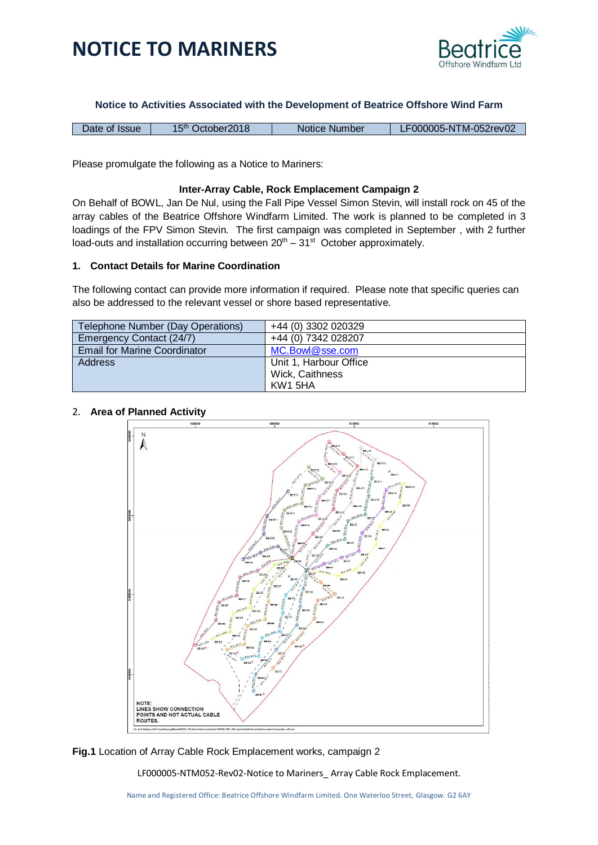

### **Notice to Activities Associated with the Development of Beatrice Offshore Wind Farm**

| LF000005-NTM-052rev02<br>15 <sup>th</sup> October 2018<br>Date of Issue<br>Notice Number |
|------------------------------------------------------------------------------------------|
|------------------------------------------------------------------------------------------|

Please promulgate the following as a Notice to Mariners:

### **Inter-Array Cable, Rock Emplacement Campaign 2**

On Behalf of BOWL, Jan De Nul, using the Fall Pipe Vessel Simon Stevin, will install rock on 45 of the array cables of the Beatrice Offshore Windfarm Limited. The work is planned to be completed in 3 loadings of the FPV Simon Stevin. The first campaign was completed in September , with 2 further load-outs and installation occurring between  $20<sup>th</sup> - 31<sup>st</sup>$  October approximately.

### **1. Contact Details for Marine Coordination**

The following contact can provide more information if required. Please note that specific queries can also be addressed to the relevant vessel or shore based representative.

| Telephone Number (Day Operations)   | +44 (0) 3302 020329    |
|-------------------------------------|------------------------|
| Emergency Contact (24/7)            | +44 (0) 7342 028207    |
| <b>Email for Marine Coordinator</b> | MC.Bowl@sse.com        |
| <b>Address</b>                      | Unit 1, Harbour Office |
|                                     | Wick, Caithness        |
|                                     | KW1 5HA                |

### 2. **Area of Planned Activity**



**Fig.1** Location of Array Cable Rock Emplacement works, campaign 2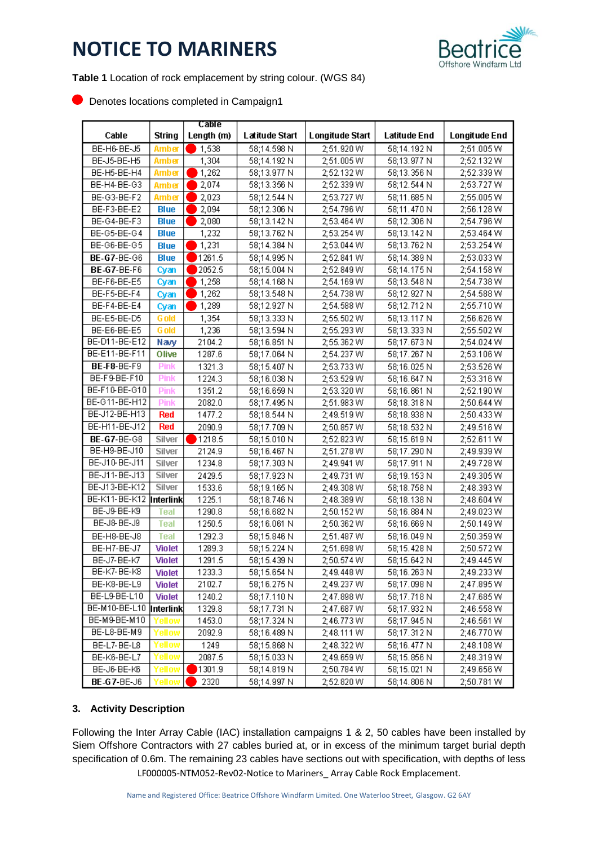

**Table 1** Location of rock emplacement by string colour. (WGS 84)

**Denotes locations completed in Campaign1** 

|                          | Cable         |            |                |                 |              |                      |
|--------------------------|---------------|------------|----------------|-----------------|--------------|----------------------|
| Cable                    | <b>String</b> | Length (m) | Latitude Start | Longitude Start | Latitude End | <b>Longitude End</b> |
| BE-H6-BE-J5              | <b>Amber</b>  | 1,538      | 58;14.598 N    | 2,51.920 W      | 58:14.192 N  | 2;51.005W            |
| BE-J5-BE-H5              | Amber         | 1,304      | 58;14.192N     | 2;51.005 W      | 58;13.977 N  | 2;52.132W            |
| BE-H5-BE-H4              | Amber         | 1,262      | 58;13.977 N    | 2;52.132 W      | 58;13.356N   | 2;52.339 W           |
| BE-H4-BE-G3              | Amber         | 2,074      | 58;13.356 N    | 2;52.339 W      | 58;12.544 N  | 2;53.727 W           |
| BE-G3-BE-F2              | Amber         | 2,023      | 58;12.544 N    | 2;53.727 W      | 58;11.685 N  | 2;55.005 W           |
| BE-F3-BE-E2              | <b>Blue</b>   | 2,094      | 58;12.306 N    | 2:54.796 W      | 58;11.470 N  | 2;56.128W            |
| BE-G4-BE-F3              | Blue          | 2,080      | 58;13.142 N    | 2:53.464 W      | 58:12.306N   | 2;54.796 W           |
| BE-G5-BE-G4              | <b>Blue</b>   | 1,232      | 58;13.762 N    | 2,53.254 W      | 58;13.142 N  | 2;53.464 W           |
| BE-G6-BE-G5              | <b>Blue</b>   | 1,231      | 58;14.384 N    | 2,53.044 W      | 58;13.762 N  | 2;53.254 W           |
| <b>BE-G7-BE-G6</b>       | <b>Blue</b>   | 1261.5     | 58;14.995 N    | 2;52.841 W      | 58;14.389 N  | 2;53.033W            |
| <b>BE-G7-BE-F6</b>       | Cyan          | 2052.5     | 58;15.004 N    | 2,52.849 W      | 58;14.175 N  | 2;54.158 W           |
| BE-F6-BE-E5              | Cyan          | 1,258      | 58;14.168 N    | 2:54.169 W      | 58;13.548 N  | 2:54.738 W           |
| BE-F5-BE-F4              | Cyan          | 1,262      | 58;13.548 N    | 2:54.738 W      | 58;12.927 N  | 2;54.588 W           |
| BE-F4-BE-E4              | Cyan          | 1,289      | 58;12.927 N    | 2,54.588 W      | 58;12.712 N  | 2;55.710W            |
| BE-E5-BE-D5              | G old         | 1,354      | 58;13.333 N    | 2;55.502 W      | 58;13.117 N  | 2;56.626 W           |
| BE-E6-BE-E5              | <b>G</b> old  | 1,236      | 58;13.594 N    | 2;55.293 W      | 58;13.333 N  | 2;55.502W            |
| BE-D11-BE-E12            | Navy          | 2104.2     | 58;16.851 N    | 2,55.362 W      | 58;17.673 N  | 2;54.024 W           |
| BE-E11-BE-F11            | Olive         | 1287.6     | 58;17.064 N    | 2;54.237 W      | 58;17.267 N  | 2;53.106 W           |
| BE-F8-BE-F9              | <b>Pink</b>   | 1321.3     | 58;15.407 N    | 2;53.733W       | 58;16.025N   | 2;53.526 W           |
| BE-F9-BE-F10             | <b>Pink</b>   | 1224.3     | 58;16.038 N    | 2,53.529 W      | 58;16.647 N  | 2;53.316W            |
| BE-F10-BE-G10            | <b>Pink</b>   | 1351.2     | 58;16.659 N    | 2,53.320 W      | 58;16.861 N  | 2;52.190 W           |
| BE-G11-BE-H12            | <b>Pink</b>   | 2082.0     | 58;17.495N     | 2;51.983W       | 58;18.318 N  | 2;50.644 W           |
| BE-J12-BE-H13            | Red           | 1477.2     | 58;18.544 N    | 2;49.519 W      | 58;18.938 N  | 2;50.433W            |
| BE-H11-BE-J12            | <b>Red</b>    | 2090.9     | 58;17.709 N    | 2;50.857 W      | 58;18.532 N  | 2;49.516 W           |
| <b>BE-G7-BE-G8</b>       | Silver        | 1218.5     | 58;15.010 N    | 2,52.823 W      | 58;15.619 N  | 2;52.611 W           |
| BE-H9-BE-J10             | Silver        | 2124.9     | 58;16.467 N    | 2,51.278 W      | 58;17.290 N  | 2;49.939 W           |
| BE-J10-BE-J11            | Silver        | 1234.8     | 58;17.303N     | 2;49.941 W      | 58;17.911 N  | 2;49.728 W           |
| BE-J11-BE-J13            | Silver        | 2429.5     | 58;17.923 N    | 2;49.731 W      | 58;19.153 N  | 2;49.305 W           |
| BE-J13-BE-K12            | Silver        | 1533.6     | 58;19.165 N    | 2;49.308 W      | 58;18.758 N  | 2;48.393W            |
| BE-K11-BE-K12  Interlink |               | 1225.1     | 58;18.746 N    | 2;48.389 W      | 58;18.138 N  | 2;48.604 W           |
| BE-J9-BE-K9              | Teal          | 1290.8     | 58;16.682 N    | 2;50.152 W      | 58;16.884 N  | 2;49.023W            |
| BE-J8-BE-J9              | Teal          | 1250.5     | 58;16.061 N    | 2;50.362 W      | 58;16.669N   | 2;50.149W            |
| BE-H8-BE-J8              | <b>Teal</b>   | 1292.3     | 58;15.846 N    | 2;51.487 W      | 58;16.049N   | 2;50.359W            |
| BE-H7-BE-J7              | <b>Violet</b> | 1289.3     | 58;15.224 N    | 2;51.698 W      | 58;15.428 N  | 2;50.572W            |
| BE-J7-BE-K7              | <b>Violet</b> | 1291.5     | 58;15.439 N    | 2;50.574 W      | 58;15.642 N  | 2;49.445 W           |
| BE-K7-BE-K8              | Violet        | 1233.3     | 58;15.654 N    | 2;49.448 W      | 58;16.263N   | 2;49.233W            |
| BE-K8-BE-L9              | Violet        | 2102.7     | 58;16.275 N    | 2;49.237 W      | 58;17.098 N  | 2;47.895 W           |
| BE-L9-BE-L10             | Violet        | 1240.2     | 58;17.110 N    | 2;47.898 W      | 58;17.718 N  | 2;47.685 W           |
| BE-M10-BE-L10  Interlink |               | 1329.8     | 58;17.731 N    | 2;47.687 W      | 58;17.932 N  | 2;46.558 W           |
| BE-M9-BE-M10             | rellow        | 1453.0     | 58;17.324 N    | 2;46.773 W      | 58;17.945 N  | 2;46.561 W           |
| BE-L8-BE-M9              | Yellow        | 2092.9     | 58;16.489 N    | 2;48.111 W      | 58;17.312 N  | 2;46.770 W           |
| BE-L7-BE-L8              | Yellow        | 1249       | 58;15.868 N    | 2,48.322 W      | 58;16.477 N  | 2;48.108 W           |
| BE-K6-BE-L7              | Yellow        | 2087.5     | 58;15.033 N    | 2;49.659 W      | 58;15.856 N  | 2;48.319 W           |
| BE-J6-BE-K6              | 'ellow        | 1301.9     | 58;14.819 N    | 2;50.784 W      | 58;15.021 N  | 2;49.656 W           |
| <b>BE-G7-BE-J6</b>       | ellow         | 2320       | 58;14.997 N    | 2,52.820 W      | 58;14.806 N  | 2;50.781 W           |

### **3. Activity Description**

LF000005-NTM052-Rev02-Notice to Mariners\_ Array Cable Rock Emplacement. Following the Inter Array Cable (IAC) installation campaigns 1 & 2, 50 cables have been installed by Siem Offshore Contractors with 27 cables buried at, or in excess of the minimum target burial depth specification of 0.6m. The remaining 23 cables have sections out with specification, with depths of less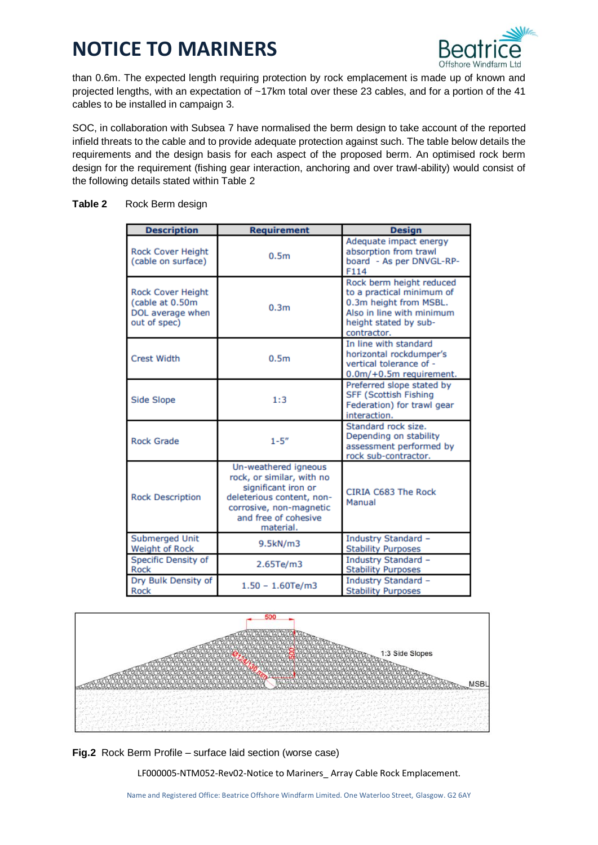

than 0.6m. The expected length requiring protection by rock emplacement is made up of known and projected lengths, with an expectation of ~17km total over these 23 cables, and for a portion of the 41 cables to be installed in campaign 3.

SOC, in collaboration with Subsea 7 have normalised the berm design to take account of the reported infield threats to the cable and to provide adequate protection against such. The table below details the requirements and the design basis for each aspect of the proposed berm. An optimised rock berm design for the requirement (fishing gear interaction, anchoring and over trawl-ability) would consist of the following details stated within Table 2

### **Table 2** Rock Berm design

| <b>Description</b>                                                              | <b>Requirement</b>                                                                                                                                                    | <b>Design</b>                                                                                                                                        |
|---------------------------------------------------------------------------------|-----------------------------------------------------------------------------------------------------------------------------------------------------------------------|------------------------------------------------------------------------------------------------------------------------------------------------------|
| <b>Rock Cover Height</b><br>(cable on surface)                                  | 0.5 <sub>m</sub>                                                                                                                                                      | Adequate impact energy<br>absorption from trawl<br>board - As per DNVGL-RP-<br>F114                                                                  |
| <b>Rock Cover Height</b><br>(cable at 0.50m<br>DOL average when<br>out of spec) | 0.3 <sub>m</sub>                                                                                                                                                      | Rock berm height reduced<br>to a practical minimum of<br>0.3m height from MSBL.<br>Also in line with minimum<br>height stated by sub-<br>contractor. |
| <b>Crest Width</b>                                                              | 0.5 <sub>m</sub>                                                                                                                                                      | In line with standard<br>horizontal rockdumper's<br>vertical tolerance of -<br>0.0m/+0.5m requirement.                                               |
| Side Slope                                                                      | 1:3                                                                                                                                                                   | Preferred slope stated by<br><b>SFF (Scottish Fishing</b><br>Federation) for trawl gear<br>interaction.                                              |
| <b>Rock Grade</b>                                                               | $1 - 5''$                                                                                                                                                             | Standard rock size.<br>Depending on stability<br>assessment performed by<br>rock sub-contractor.                                                     |
| <b>Rock Description</b>                                                         | Un-weathered igneous<br>rock, or similar, with no<br>significant iron or<br>deleterious content, non-<br>corrosive, non-magnetic<br>and free of cohesive<br>material. | CIRIA C683 The Rock<br>Manual                                                                                                                        |
| Submerged Unit<br>Weight of Rock                                                | 9.5kN/m3                                                                                                                                                              | Industry Standard -<br><b>Stability Purposes</b>                                                                                                     |
| Specific Density of<br>Rock                                                     | 2.65Te/m3                                                                                                                                                             | Industry Standard -<br><b>Stability Purposes</b>                                                                                                     |
| Dry Bulk Density of<br>Rock                                                     | $1.50 - 1.60 Te/m3$                                                                                                                                                   | Industry Standard -<br><b>Stability Purposes</b>                                                                                                     |



**Fig.2** Rock Berm Profile – surface laid section (worse case)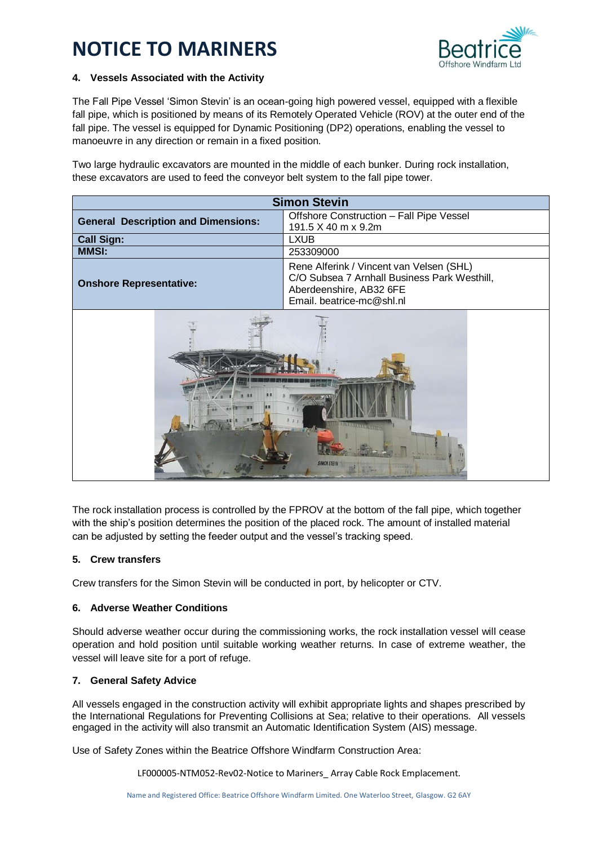

### **4. Vessels Associated with the Activity**

The Fall Pipe Vessel 'Simon Stevin' is an ocean-going high powered vessel, equipped with a flexible fall pipe, which is positioned by means of its Remotely Operated Vehicle (ROV) at the outer end of the fall pipe. The vessel is equipped for Dynamic Positioning (DP2) operations, enabling the vessel to manoeuvre in any direction or remain in a fixed position.

Two large hydraulic excavators are mounted in the middle of each bunker. During rock installation, these excavators are used to feed the conveyor belt system to the fall pipe tower.

| <b>Simon Stevin</b>                        |                                                                                                                                                  |  |  |  |
|--------------------------------------------|--------------------------------------------------------------------------------------------------------------------------------------------------|--|--|--|
| <b>General Description and Dimensions:</b> | Offshore Construction - Fall Pipe Vessel<br>191.5 X 40 m x 9.2m                                                                                  |  |  |  |
| <b>Call Sign:</b>                          | <b>LXUB</b>                                                                                                                                      |  |  |  |
| <b>MMSI:</b>                               | 253309000                                                                                                                                        |  |  |  |
| <b>Onshore Representative:</b>             | Rene Alferink / Vincent van Velsen (SHL)<br>C/O Subsea 7 Arnhall Business Park Westhill,<br>Aberdeenshire, AB32 6FE<br>Email. beatrice-mc@shl.nl |  |  |  |
| <b>SIMON STEVIN</b>                        |                                                                                                                                                  |  |  |  |

The rock installation process is controlled by the FPROV at the bottom of the fall pipe, which together with the ship's position determines the position of the placed rock. The amount of installed material can be adjusted by setting the feeder output and the vessel's tracking speed.

### **5. Crew transfers**

Crew transfers for the Simon Stevin will be conducted in port, by helicopter or CTV.

## **6. Adverse Weather Conditions**

Should adverse weather occur during the commissioning works, the rock installation vessel will cease operation and hold position until suitable working weather returns. In case of extreme weather, the vessel will leave site for a port of refuge.

### **7. General Safety Advice**

All vessels engaged in the construction activity will exhibit appropriate lights and shapes prescribed by the International Regulations for Preventing Collisions at Sea; relative to their operations. All vessels engaged in the activity will also transmit an Automatic Identification System (AIS) message.

Use of Safety Zones within the Beatrice Offshore Windfarm Construction Area: